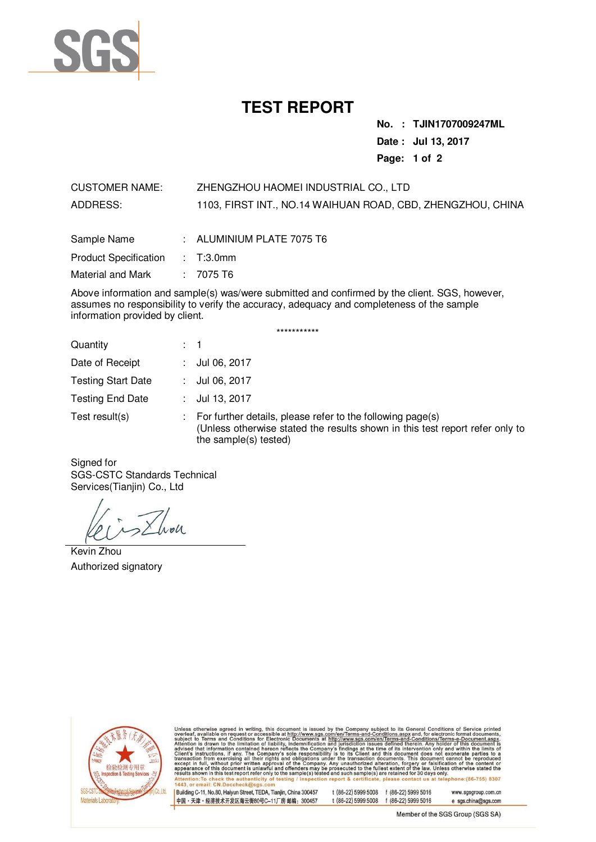

# **TEST REPORT**

**No. : TJIN1707009247ML Date : Jul 13, 2017 Page: 1 of 2** 

CUSTOMER NAME: ZHENGZHOU HAOMEI INDUSTRIAL CO., LTD ADDRESS: 1103, FIRST INT., NO.14 WAIHUAN ROAD, CBD, ZHENGZHOU, CHINA

| Sample Name                     | : ALUMINIUM PLATE 7075 T6 |
|---------------------------------|---------------------------|
| Product Specification : T:3.0mm |                           |
| Material and Mark               | $: 7075 \text{ T6}$       |

Above information and sample(s) was/were submitted and confirmed by the client. SGS, however, assumes no responsibility to verify the accuracy, adequacy and completeness of the sample information provided by client.

| Quantity                  | $\therefore$ 1                                                                                                                                                      |
|---------------------------|---------------------------------------------------------------------------------------------------------------------------------------------------------------------|
| Date of Receipt           | : $Jul 06, 2017$                                                                                                                                                    |
| <b>Testing Start Date</b> | : $Jul 06, 2017$                                                                                                                                                    |
| <b>Testing End Date</b>   | : $Jul$ 13, 2017                                                                                                                                                    |
| Test result(s)            | For further details, please refer to the following page(s)<br>(Unless otherwise stated the results shown in this test report refer only to<br>the sample(s) tested) |

\*\*\*\*\*\*\*\*\*\*\*

Signed for SGS-CSTC Standards Technical Services(Tianjin) Co., Ltd

 $\lambda$ oll

Kevin Zhou Authorized signatory



Unless otherwise agreed in writing, this document is issued by the Company subject to its General Conditions of Service printed author of the subject to Terms and Conditions for Electronic Documents at  $\frac{100 \times 100 \times 100$ ct us at telephone: (86-755) 8307 certific 1443, or email: CN.Doccheck@

Building C-11, No.80, Haiyun Street, TEDA, Tianjin, China 300457 中国·天津·经济技术开发区海云街80号C-11厂房 邮编: 300457

t (86-22) 5999 5008 f (86-22) 5999 5016 t (86-22) 5999 5008 f (86-22) 5999 5016

www.sgsgroup.com.cn e sgs.china@sgs.com